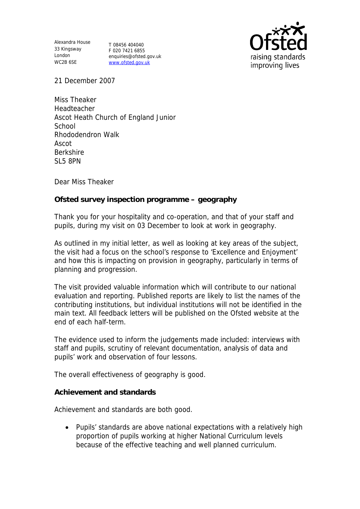Alexandra House 33 Kingsway London WC2B 6SE

T 08456 404040 F 020 7421 6855 enquiries@ofsted.gov.uk www.ofsted.gov.uk



21 December 2007

Miss Theaker Headteacher Ascot Heath Church of England Junior **School** Rhododendron Walk Ascot Berkshire SL5 8PN

Dear Miss Theaker

**Ofsted survey inspection programme – geography**

Thank you for your hospitality and co-operation, and that of your staff and pupils, during my visit on 03 December to look at work in geography.

As outlined in my initial letter, as well as looking at key areas of the subject, the visit had a focus on the school's response to 'Excellence and Enjoyment' and how this is impacting on provision in geography, particularly in terms of planning and progression.

The visit provided valuable information which will contribute to our national evaluation and reporting. Published reports are likely to list the names of the contributing institutions, but individual institutions will not be identified in the main text. All feedback letters will be published on the Ofsted website at the end of each half-term.

The evidence used to inform the judgements made included: interviews with staff and pupils, scrutiny of relevant documentation, analysis of data and pupils' work and observation of four lessons.

The overall effectiveness of geography is good.

**Achievement and standards**

Achievement and standards are both good.

 Pupils' standards are above national expectations with a relatively high proportion of pupils working at higher National Curriculum levels because of the effective teaching and well planned curriculum.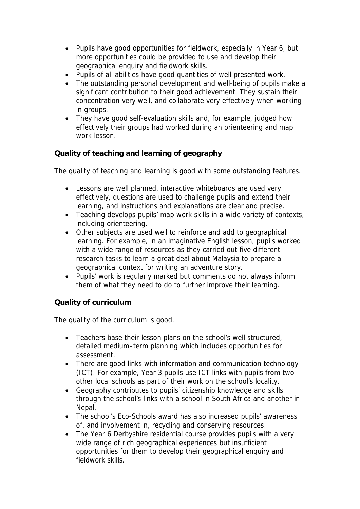- Pupils have good opportunities for fieldwork, especially in Year 6, but more opportunities could be provided to use and develop their geographical enquiry and fieldwork skills.
- Pupils of all abilities have good quantities of well presented work.
- The outstanding personal development and well-being of pupils make a significant contribution to their good achievement. They sustain their concentration very well, and collaborate very effectively when working in groups.
- They have good self-evaluation skills and, for example, judged how effectively their groups had worked during an orienteering and map work lesson.

**Quality of teaching and learning of geography**

The quality of teaching and learning is good with some outstanding features.

- Lessons are well planned, interactive whiteboards are used very effectively, questions are used to challenge pupils and extend their learning, and instructions and explanations are clear and precise.
- Teaching develops pupils' map work skills in a wide variety of contexts, including orienteering.
- Other subjects are used well to reinforce and add to geographical learning. For example, in an imaginative English lesson, pupils worked with a wide range of resources as they carried out five different research tasks to learn a great deal about Malaysia to prepare a geographical context for writing an adventure story.
- Pupils' work is regularly marked but comments do not always inform them of what they need to do to further improve their learning.

## **Quality of curriculum**

The quality of the curriculum is good.

- Teachers base their lesson plans on the school's well structured, detailed medium–term planning which includes opportunities for assessment.
- There are good links with information and communication technology (ICT). For example, Year 3 pupils use ICT links with pupils from two other local schools as part of their work on the school's locality.
- Geography contributes to pupils' citizenship knowledge and skills through the school's links with a school in South Africa and another in Nepal.
- The school's Eco-Schools award has also increased pupils' awareness of, and involvement in, recycling and conserving resources.
- The Year 6 Derbyshire residential course provides pupils with a very wide range of rich geographical experiences but insufficient opportunities for them to develop their geographical enquiry and fieldwork skills.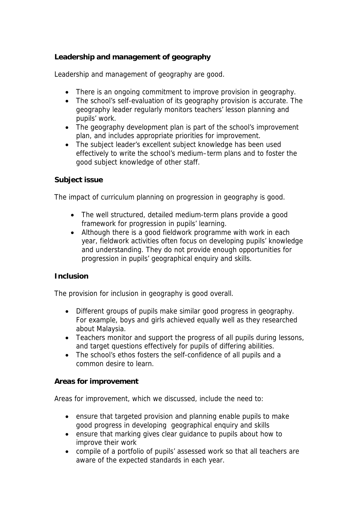## **Leadership and management of geography**

Leadership and management of geography are good.

- There is an ongoing commitment to improve provision in geography.
- The school's self-evaluation of its geography provision is accurate. The geography leader regularly monitors teachers' lesson planning and pupils' work.
- The geography development plan is part of the school's improvement plan, and includes appropriate priorities for improvement.
- The subject leader's excellent subject knowledge has been used effectively to write the school's medium–term plans and to foster the good subject knowledge of other staff.

## **Subject issue**

The impact of curriculum planning on progression in geography is good.

- The well structured, detailed medium-term plans provide a good framework for progression in pupils' learning.
- Although there is a good fieldwork programme with work in each year, fieldwork activities often focus on developing pupils' knowledge and understanding. They do not provide enough opportunities for progression in pupils' geographical enquiry and skills.

## **Inclusion**

The provision for inclusion in geography is good overall.

- Different groups of pupils make similar good progress in geography. For example, boys and girls achieved equally well as they researched about Malaysia.
- Teachers monitor and support the progress of all pupils during lessons, and target questions effectively for pupils of differing abilities.
- The school's ethos fosters the self-confidence of all pupils and a common desire to learn.

**Areas for improvement**

Areas for improvement, which we discussed, include the need to:

- ensure that targeted provision and planning enable pupils to make good progress in developing geographical enquiry and skills
- ensure that marking gives clear guidance to pupils about how to improve their work
- compile of a portfolio of pupils' assessed work so that all teachers are aware of the expected standards in each year.